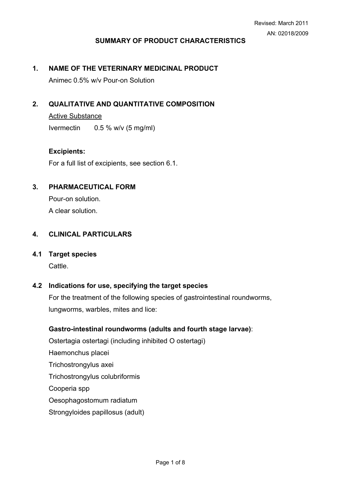# **SUMMARY OF PRODUCT CHARACTERISTICS**

## **1. NAME OF THE VETERINARY MEDICINAL PRODUCT**

Animec 0.5% w/v Pour-on Solution

# **2. QUALITATIVE AND QUANTITATIVE COMPOSITION**

Active Substance Ivermectin 0.5 % w/v (5 mg/ml)

### **Excipients:**

For a full list of excipients, see section 6.1.

### **3. PHARMACEUTICAL FORM**

Pour-on solution. A clear solution.

## **4. CLINICAL PARTICULARS**

# **4.1 Target species**

Cattle.

### **4.2 Indications for use, specifying the target species**

For the treatment of the following species of gastrointestinal roundworms, lungworms, warbles, mites and lice:

### **Gastro-intestinal roundworms (adults and fourth stage larvae)**:

Ostertagia ostertagi (including inhibited O ostertagi) Haemonchus placei Trichostrongylus axei Trichostrongylus colubriformis Cooperia spp Oesophagostomum radiatum Strongyloides papillosus (adult)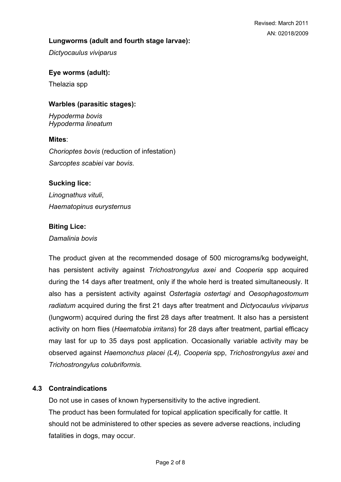## **Lungworms (adult and fourth stage larvae):**

*Dictyocaulus viviparus* 

# **Eye worms (adult):**

Thelazia spp

### **Warbles (parasitic stages):**

*Hypoderma bovis Hypoderma lineatum* 

### **Mites**:

*Chorioptes bovis* (reduction of infestation) *Sarcoptes scabiei* var *bovis*.

# **Sucking lice:**

*Linognathus vituli*, *Haematopinus eurysternus*

# **Biting Lice:**

*Damalinia bovis*

The product given at the recommended dosage of 500 micrograms/kg bodyweight, has persistent activity against *Trichostrongylus axei* and *Cooperia* spp acquired during the 14 days after treatment, only if the whole herd is treated simultaneously. It also has a persistent activity against *Ostertagia ostertagi* and *Oesophagostomum radiatum* acquired during the first 21 days after treatment and *Dictyocaulus viviparus* (lungworm) acquired during the first 28 days after treatment. It also has a persistent activity on horn flies (*Haematobia irritans*) for 28 days after treatment, partial efficacy may last for up to 35 days post application. Occasionally variable activity may be observed against *Haemonchus placei (L4), Cooperia* spp, *Trichostrongylus axei* and *Trichostrongylus colubriformis.*

# **4.3 Contraindications**

Do not use in cases of known hypersensitivity to the active ingredient. The product has been formulated for topical application specifically for cattle. It should not be administered to other species as severe adverse reactions, including fatalities in dogs, may occur.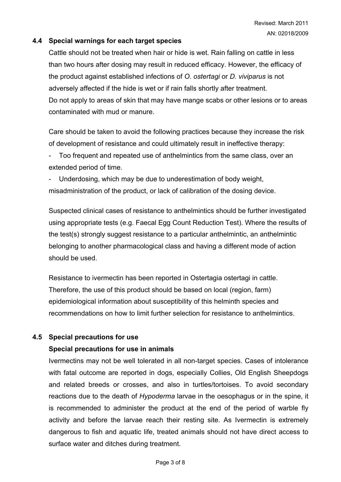# **4.4 Special warnings for each target species**

Cattle should not be treated when hair or hide is wet. Rain falling on cattle in less than two hours after dosing may result in reduced efficacy. However, the efficacy of the product against established infections of *O. ostertagi* or *D. viviparus* is not adversely affected if the hide is wet or if rain falls shortly after treatment. Do not apply to areas of skin that may have mange scabs or other lesions or to areas contaminated with mud or manure.

Care should be taken to avoid the following practices because they increase the risk of development of resistance and could ultimately result in ineffective therapy:

Too frequent and repeated use of anthelmintics from the same class, over an extended period of time.

Underdosing, which may be due to underestimation of body weight, misadministration of the product, or lack of calibration of the dosing device.

Suspected clinical cases of resistance to anthelmintics should be further investigated using appropriate tests (e.g. Faecal Egg Count Reduction Test). Where the results of the test(s) strongly suggest resistance to a particular anthelmintic, an anthelmintic belonging to another pharmacological class and having a different mode of action should be used.

Resistance to ivermectin has been reported in Ostertagia ostertagi in cattle. Therefore, the use of this product should be based on local (region, farm) epidemiological information about susceptibility of this helminth species and recommendations on how to limit further selection for resistance to anthelmintics.

# **4.5 Special precautions for use**

### **Special precautions for use in animals**

Ivermectins may not be well tolerated in all non-target species. Cases of intolerance with fatal outcome are reported in dogs, especially Collies, Old English Sheepdogs and related breeds or crosses, and also in turtles/tortoises. To avoid secondary reactions due to the death of *Hypoderma* larvae in the oesophagus or in the spine, it is recommended to administer the product at the end of the period of warble fly activity and before the larvae reach their resting site. As Ivermectin is extremely dangerous to fish and aquatic life, treated animals should not have direct access to surface water and ditches during treatment.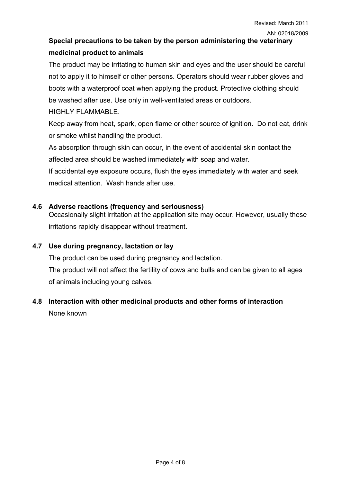# **Special precautions to be taken by the person administering the veterinary medicinal product to animals**

The product may be irritating to human skin and eyes and the user should be careful not to apply it to himself or other persons. Operators should wear rubber gloves and boots with a waterproof coat when applying the product. Protective clothing should be washed after use. Use only in well-ventilated areas or outdoors.

HIGHLY FLAMMABLE.

Keep away from heat, spark, open flame or other source of ignition. Do not eat, drink or smoke whilst handling the product.

As absorption through skin can occur, in the event of accidental skin contact the affected area should be washed immediately with soap and water.

If accidental eye exposure occurs, flush the eyes immediately with water and seek medical attention. Wash hands after use.

# **4.6 Adverse reactions (frequency and seriousness)**

Occasionally slight irritation at the application site may occur. However, usually these irritations rapidly disappear without treatment.

# **4.7 Use during pregnancy, lactation or lay**

The product can be used during pregnancy and lactation.

The product will not affect the fertility of cows and bulls and can be given to all ages of animals including young calves.

# **4.8 Interaction with other medicinal products and other forms of interaction**

None known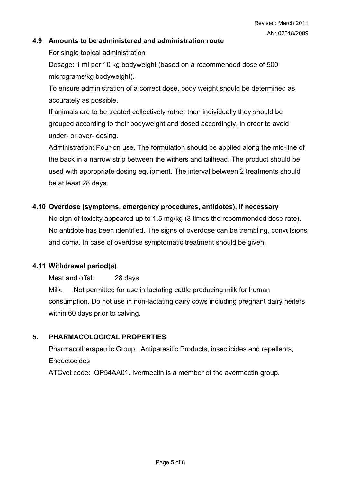### **4.9 Amounts to be administered and administration route**

For single topical administration

Dosage: 1 ml per 10 kg bodyweight (based on a recommended dose of 500 micrograms/kg bodyweight).

To ensure administration of a correct dose, body weight should be determined as accurately as possible.

If animals are to be treated collectively rather than individually they should be grouped according to their bodyweight and dosed accordingly, in order to avoid under- or over- dosing.

Administration: Pour-on use. The formulation should be applied along the mid-line of the back in a narrow strip between the withers and tailhead. The product should be used with appropriate dosing equipment. The interval between 2 treatments should be at least 28 days.

### **4.10 Overdose (symptoms, emergency procedures, antidotes), if necessary**

No sign of toxicity appeared up to 1.5 mg/kg (3 times the recommended dose rate). No antidote has been identified. The signs of overdose can be trembling, convulsions and coma. In case of overdose symptomatic treatment should be given.

### **4.11 Withdrawal period(s)**

Meat and offal: 28 days

Milk: Not permitted for use in lactating cattle producing milk for human consumption. Do not use in non-lactating dairy cows including pregnant dairy heifers within 60 days prior to calving.

# **5. PHARMACOLOGICAL PROPERTIES**

Pharmacotherapeutic Group: Antiparasitic Products, insecticides and repellents, Endectocides

ATCvet code: QP54AA01. Ivermectin is a member of the avermectin group.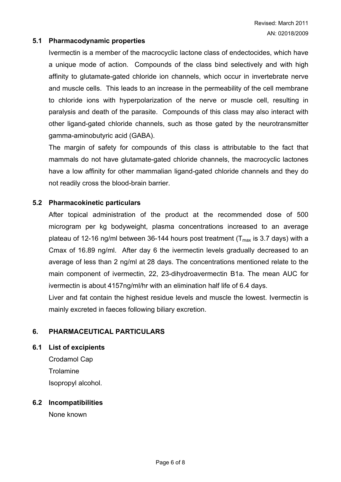### **5.1 Pharmacodynamic properties**

Ivermectin is a member of the macrocyclic lactone class of endectocides, which have a unique mode of action. Compounds of the class bind selectively and with high affinity to glutamate-gated chloride ion channels, which occur in invertebrate nerve and muscle cells. This leads to an increase in the permeability of the cell membrane to chloride ions with hyperpolarization of the nerve or muscle cell, resulting in paralysis and death of the parasite. Compounds of this class may also interact with other ligand-gated chloride channels, such as those gated by the neurotransmitter gamma-aminobutyric acid (GABA).

The margin of safety for compounds of this class is attributable to the fact that mammals do not have glutamate-gated chloride channels, the macrocyclic lactones have a low affinity for other mammalian ligand-gated chloride channels and they do not readily cross the blood-brain barrier.

# **5.2 Pharmacokinetic particulars**

After topical administration of the product at the recommended dose of 500 microgram per kg bodyweight, plasma concentrations increased to an average plateau of 12-16 ng/ml between 36-144 hours post treatment ( $T_{\text{max}}$  is 3.7 days) with a Cmax of 16.89 ng/ml. After day 6 the ivermectin levels gradually decreased to an average of less than 2 ng/ml at 28 days. The concentrations mentioned relate to the main component of ivermectin, 22, 23-dihydroavermectin B1a. The mean AUC for ivermectin is about 4157ng/ml/hr with an elimination half life of 6.4 days.

Liver and fat contain the highest residue levels and muscle the lowest. Ivermectin is mainly excreted in faeces following biliary excretion.

# **6. PHARMACEUTICAL PARTICULARS**

**6.1 List of excipients**

Crodamol Cap **Trolamine** Isopropyl alcohol.

### **6.2 Incompatibilities**

None known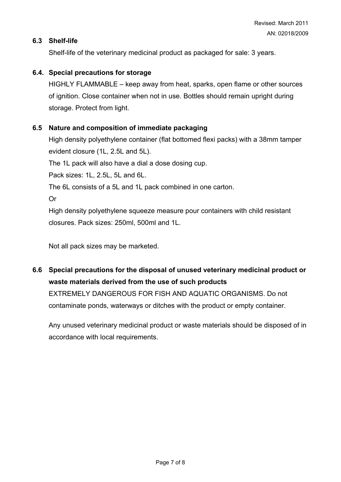# **6.3 Shelf-life**

Shelf-life of the veterinary medicinal product as packaged for sale: 3 years.

# **6.4. Special precautions for storage**

HIGHLY FLAMMABLE – keep away from heat, sparks, open flame or other sources of ignition. Close container when not in use. Bottles should remain upright during storage. Protect from light.

# **6.5 Nature and composition of immediate packaging**

High density polyethylene container (flat bottomed flexi packs) with a 38mm tamper evident closure (1L, 2.5L and 5L).

The 1L pack will also have a dial a dose dosing cup.

Pack sizes: 1L, 2.5L, 5L and 6L.

The 6L consists of a 5L and 1L pack combined in one carton.

Or

High density polyethylene squeeze measure pour containers with child resistant closures. Pack sizes: 250ml, 500ml and 1L.

Not all pack sizes may be marketed.

**6.6 Special precautions for the disposal of unused veterinary medicinal product or waste materials derived from the use of such products**

EXTREMELY DANGEROUS FOR FISH AND AQUATIC ORGANISMS. Do not contaminate ponds, waterways or ditches with the product or empty container.

Any unused veterinary medicinal product or waste materials should be disposed of in accordance with local requirements.